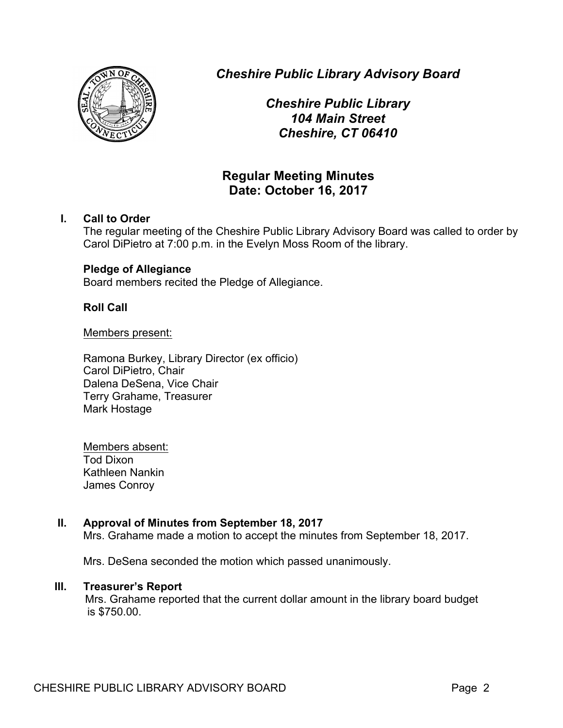

*Cheshire Public Library Advisory Board*

*Cheshire Public Library 104 Main Street Cheshire, CT 06410*

# **Regular Meeting Minutes Date: October 16, 2017**

# **I. Call to Order**

The regular meeting of the Cheshire Public Library Advisory Board was called to order by Carol DiPietro at 7:00 p.m. in the Evelyn Moss Room of the library.

# **Pledge of Allegiance**

Board members recited the Pledge of Allegiance.

# **Roll Call**

Members present:

Ramona Burkey, Library Director (ex officio) Carol DiPietro, Chair Dalena DeSena, Vice Chair Terry Grahame, Treasurer Mark Hostage

Members absent: Tod Dixon Kathleen Nankin James Conroy

# **II. Approval of Minutes from September 18, 2017**

Mrs. Grahame made a motion to accept the minutes from September 18, 2017.

Mrs. DeSena seconded the motion which passed unanimously.

## **III. Treasurer's Report**

Mrs. Grahame reported that the current dollar amount in the library board budget is \$750.00.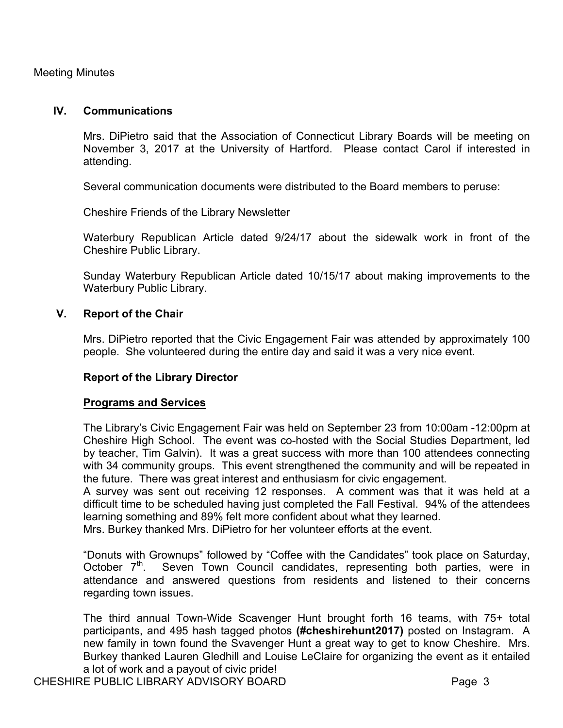Meeting Minutes

## **IV. Communications**

Mrs. DiPietro said that the Association of Connecticut Library Boards will be meeting on November 3, 2017 at the University of Hartford. Please contact Carol if interested in attending.

Several communication documents were distributed to the Board members to peruse:

Cheshire Friends of the Library Newsletter

Waterbury Republican Article dated 9/24/17 about the sidewalk work in front of the Cheshire Public Library.

Sunday Waterbury Republican Article dated 10/15/17 about making improvements to the Waterbury Public Library.

## **V. Report of the Chair**

Mrs. DiPietro reported that the Civic Engagement Fair was attended by approximately 100 people. She volunteered during the entire day and said it was a very nice event.

#### **Report of the Library Director**

#### **Programs and Services**

The Library's Civic Engagement Fair was held on September 23 from 10:00am -12:00pm at Cheshire High School. The event was co-hosted with the Social Studies Department, led by teacher, Tim Galvin). It was a great success with more than 100 attendees connecting with 34 community groups. This event strengthened the community and will be repeated in the future. There was great interest and enthusiasm for civic engagement.

A survey was sent out receiving 12 responses. A comment was that it was held at a difficult time to be scheduled having just completed the Fall Festival. 94% of the attendees learning something and 89% felt more confident about what they learned.

Mrs. Burkey thanked Mrs. DiPietro for her volunteer efforts at the event.

"Donuts with Grownups" followed by "Coffee with the Candidates" took place on Saturday, October  $7<sup>th</sup>$ . Seven Town Council candidates, representing both parties, were in attendance and answered questions from residents and listened to their concerns regarding town issues.

The third annual Town-Wide Scavenger Hunt brought forth 16 teams, with 75+ total participants, and 495 hash tagged photos **(#cheshirehunt2017)** posted on Instagram. A new family in town found the Svavenger Hunt a great way to get to know Cheshire. Mrs. Burkey thanked Lauren Gledhill and Louise LeClaire for organizing the event as it entailed a lot of work and a payout of civic pride!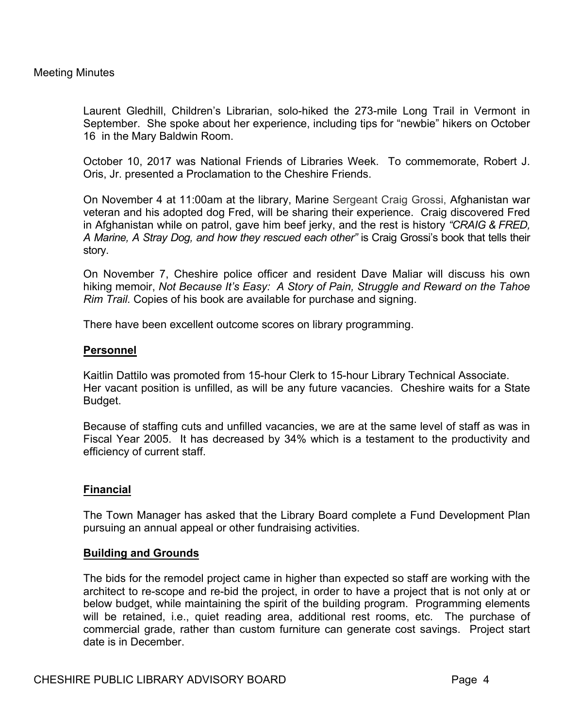## Meeting Minutes

Laurent Gledhill, Children's Librarian, solo-hiked the 273-mile Long Trail in Vermont in September. She spoke about her experience, including tips for "newbie" hikers on October 16 in the Mary Baldwin Room.

October 10, 2017 was National Friends of Libraries Week. To commemorate, Robert J. Oris, Jr. presented a Proclamation to the Cheshire Friends.

On November 4 at 11:00am at the library, Marine Sergeant Craig Grossi, Afghanistan war veteran and his adopted dog Fred, will be sharing their experience. Craig discovered Fred in Afghanistan while on patrol, gave him beef jerky, and the rest is history *"CRAIG & FRED, A Marine, A Stray Dog, and how they rescued each other"* is Craig Grossi's book that tells their story.

On November 7, Cheshire police officer and resident Dave Maliar will discuss his own hiking memoir, *Not Because It's Easy: A Story of Pain, Struggle and Reward on the Tahoe Rim Trail.* Copies of his book are available for purchase and signing.

There have been excellent outcome scores on library programming.

#### **Personnel**

Kaitlin Dattilo was promoted from 15-hour Clerk to 15-hour Library Technical Associate. Her vacant position is unfilled, as will be any future vacancies. Cheshire waits for a State Budget.

Because of staffing cuts and unfilled vacancies, we are at the same level of staff as was in Fiscal Year 2005. It has decreased by 34% which is a testament to the productivity and efficiency of current staff.

## **Financial**

The Town Manager has asked that the Library Board complete a Fund Development Plan pursuing an annual appeal or other fundraising activities.

#### **Building and Grounds**

The bids for the remodel project came in higher than expected so staff are working with the architect to re-scope and re-bid the project, in order to have a project that is not only at or below budget, while maintaining the spirit of the building program. Programming elements will be retained, i.e., quiet reading area, additional rest rooms, etc. The purchase of commercial grade, rather than custom furniture can generate cost savings. Project start date is in December.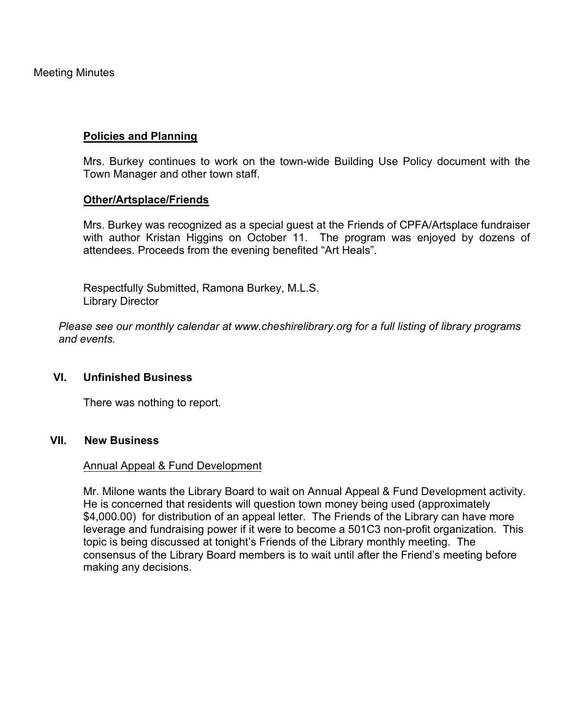Meeting Minutes

## **Policies and Planning**

Mrs. Burkey continues to work on the town-wide Building Use Policy document with the Town Manager and other town staff.

## **Other/Artsplace/Friends**

Mrs. Burkey was recognized as a special guest at the Friends of CPFA/Artsplace fundraiser with author Kristan Higgins on October 11. The program was enjoyed by dozens of attendees. Proceeds from the evening benefited "Art Heals".

Respectfully Submitted, Ramona Burkey, M.L.S. Library Director

*Please see our monthly calendar at www.cheshirelibrary.org for a full listing of library programs and events.*

#### **VI. Unfinished Business**

There was nothing to report.

## **VII. New Business**

#### Annual Appeal & Fund Development

Mr. Milone wants the Library Board to wait on Annual Appeal & Fund Development activity. He is concerned that residents will question town money being used (approximately \$4,000.00) for distribution of an appeal letter. The Friends of the Library can have more leverage and fundraising power if it were to become a 501C3 non-profit organization. This topic is being discussed at tonight's Friends of the Library monthly meeting. The consensus of the Library Board members is to wait until after the Friend's meeting before making any decisions.